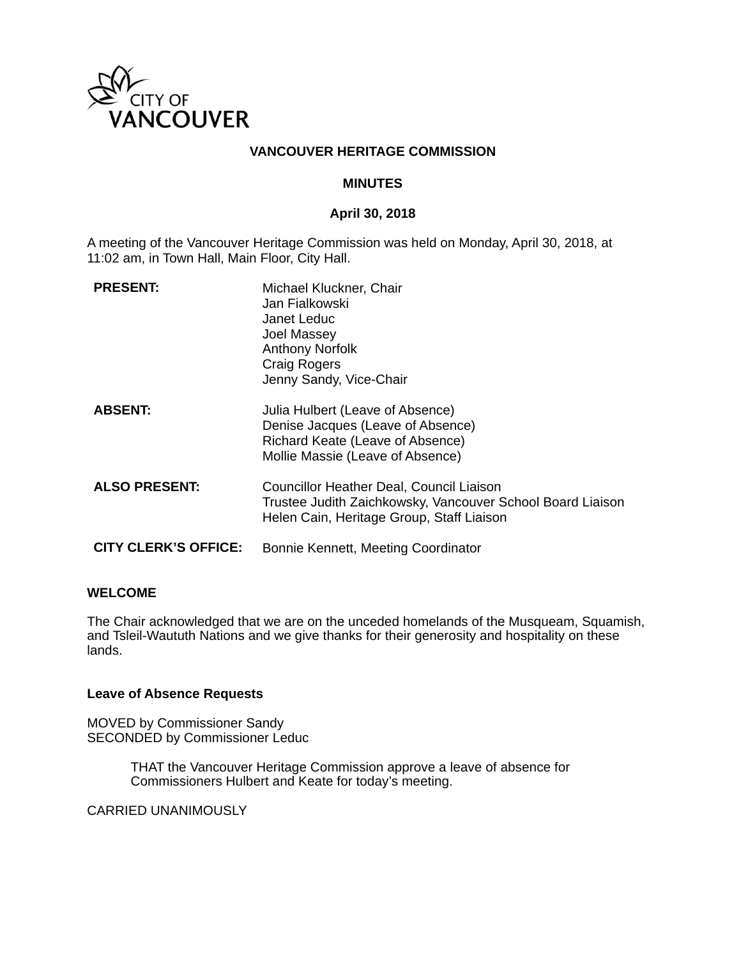

### **VANCOUVER HERITAGE COMMISSION**

#### **MINUTES**

### **April 30, 2018**

A meeting of the Vancouver Heritage Commission was held on Monday, April 30, 2018, at 11:02 am, in Town Hall, Main Floor, City Hall.

| <b>PRESENT:</b>             | Michael Kluckner, Chair<br>Jan Fialkowski<br>Janet Leduc<br>Joel Massey<br><b>Anthony Norfolk</b><br><b>Craig Rogers</b><br>Jenny Sandy, Vice-Chair |
|-----------------------------|-----------------------------------------------------------------------------------------------------------------------------------------------------|
| <b>ABSENT:</b>              | Julia Hulbert (Leave of Absence)<br>Denise Jacques (Leave of Absence)<br>Richard Keate (Leave of Absence)<br>Mollie Massie (Leave of Absence)       |
| <b>ALSO PRESENT:</b>        | Councillor Heather Deal, Council Liaison<br>Trustee Judith Zaichkowsky, Vancouver School Board Liaison<br>Helen Cain, Heritage Group, Staff Liaison |
| <b>CITY CLERK'S OFFICE:</b> | Bonnie Kennett, Meeting Coordinator                                                                                                                 |

### **WELCOME**

The Chair acknowledged that we are on the unceded homelands of the Musqueam, Squamish, and Tsleil-Waututh Nations and we give thanks for their generosity and hospitality on these lands.

#### **Leave of Absence Requests**

MOVED by Commissioner Sandy SECONDED by Commissioner Leduc

> THAT the Vancouver Heritage Commission approve a leave of absence for Commissioners Hulbert and Keate for today's meeting.

CARRIED UNANIMOUSLY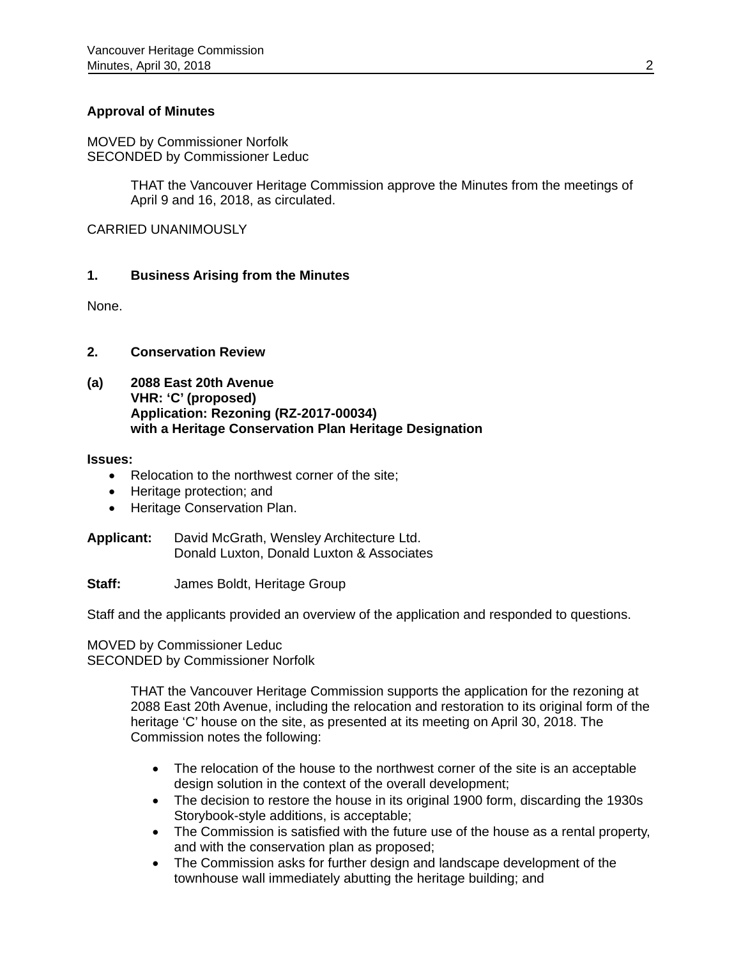### **Approval of Minutes**

MOVED by Commissioner Norfolk SECONDED by Commissioner Leduc

> THAT the Vancouver Heritage Commission approve the Minutes from the meetings of April 9 and 16, 2018, as circulated.

CARRIED UNANIMOUSLY

### **1. Business Arising from the Minutes**

None.

### **2. Conservation Review**

**(a) 2088 East 20th Avenue VHR: 'C' (proposed) Application: Rezoning (RZ-2017-00034) with a Heritage Conservation Plan Heritage Designation** 

#### **Issues:**

- Relocation to the northwest corner of the site:
- Heritage protection; and
- Heritage Conservation Plan.

**Applicant:** David McGrath, Wensley Architecture Ltd. Donald Luxton, Donald Luxton & Associates

**Staff:** James Boldt, Heritage Group

Staff and the applicants provided an overview of the application and responded to questions.

### MOVED by Commissioner Leduc SECONDED by Commissioner Norfolk

THAT the Vancouver Heritage Commission supports the application for the rezoning at 2088 East 20th Avenue, including the relocation and restoration to its original form of the heritage 'C' house on the site, as presented at its meeting on April 30, 2018. The Commission notes the following:

- The relocation of the house to the northwest corner of the site is an acceptable design solution in the context of the overall development;
- The decision to restore the house in its original 1900 form, discarding the 1930s Storybook-style additions, is acceptable;
- The Commission is satisfied with the future use of the house as a rental property, and with the conservation plan as proposed;
- The Commission asks for further design and landscape development of the townhouse wall immediately abutting the heritage building; and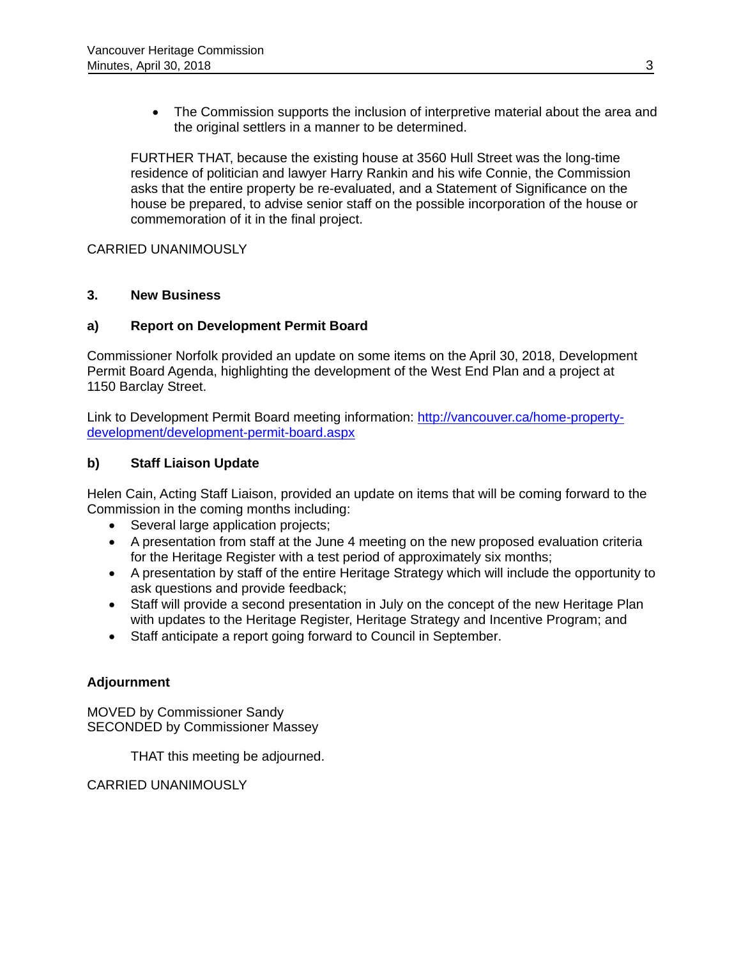• The Commission supports the inclusion of interpretive material about the area and the original settlers in a manner to be determined.

FURTHER THAT, because the existing house at 3560 Hull Street was the long-time residence of politician and lawyer Harry Rankin and his wife Connie, the Commission asks that the entire property be re-evaluated, and a Statement of Significance on the house be prepared, to advise senior staff on the possible incorporation of the house or commemoration of it in the final project.

CARRIED UNANIMOUSLY

### **3. New Business**

## **a) Report on Development Permit Board**

Commissioner Norfolk provided an update on some items on the April 30, 2018, Development Permit Board Agenda, highlighting the development of the West End Plan and a project at 1150 Barclay Street.

Link to Development Permit Board meeting information: http://vancouver.ca/home-propertydevelopment/development-permit-board.aspx

# **b) Staff Liaison Update**

Helen Cain, Acting Staff Liaison, provided an update on items that will be coming forward to the Commission in the coming months including:

- Several large application projects;
- A presentation from staff at the June 4 meeting on the new proposed evaluation criteria for the Heritage Register with a test period of approximately six months;
- A presentation by staff of the entire Heritage Strategy which will include the opportunity to ask questions and provide feedback;
- Staff will provide a second presentation in July on the concept of the new Heritage Plan with updates to the Heritage Register, Heritage Strategy and Incentive Program; and
- Staff anticipate a report going forward to Council in September.

### **Adjournment**

MOVED by Commissioner Sandy SECONDED by Commissioner Massey

THAT this meeting be adjourned.

CARRIED UNANIMOUSLY